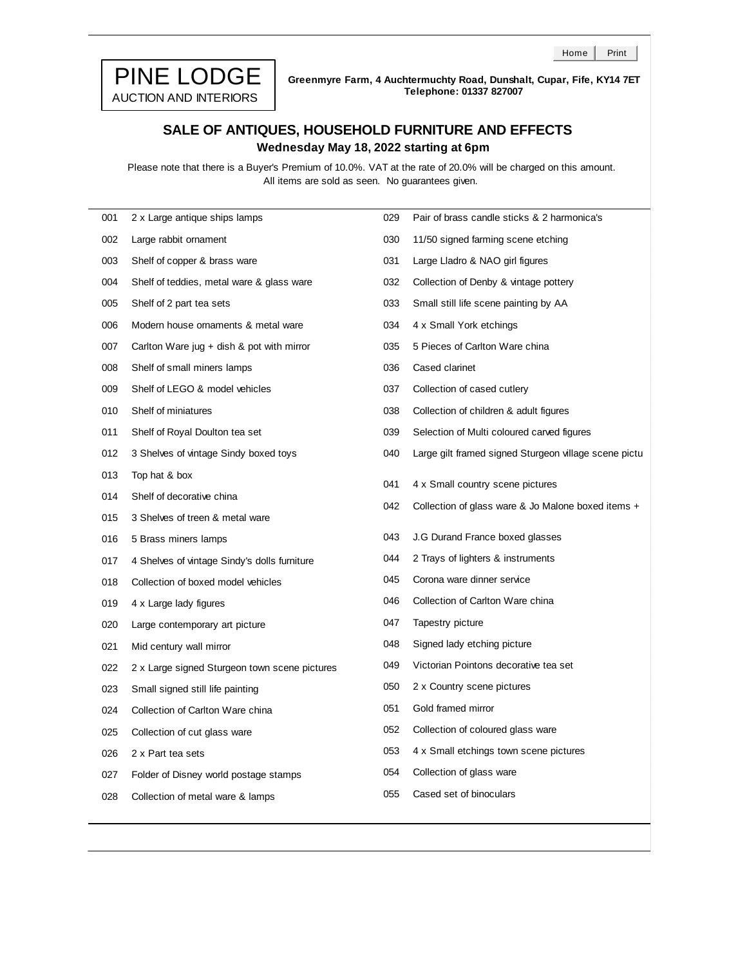

**Greenmyre Farm, 4 Auchtermuchty Road, Dunshalt, Cupar, Fife, KY14 7ET Telephone: 01337 827007**

## **SALE OF ANTIQUES, HOUSEHOLD FURNITURE AND EFFECTS Wednesday May 18, 2022 starting at 6pm**

All items are sold as seen. No guarantees given. Please note that there is a Buyer's Premium of 10.0%. VAT at the rate of 20.0% will be charged on this amount.

| 001 | 2 x Large antique ships lamps                 | 029 | Pair of brass candle sticks & 2 harmonica's           |
|-----|-----------------------------------------------|-----|-------------------------------------------------------|
| 002 | Large rabbit ornament                         | 030 | 11/50 signed farming scene etching                    |
| 003 | Shelf of copper & brass ware                  | 031 | Large Lladro & NAO girl figures                       |
| 004 | Shelf of teddies, metal ware & glass ware     | 032 | Collection of Denby & vintage pottery                 |
| 005 | Shelf of 2 part tea sets                      | 033 | Small still life scene painting by AA                 |
| 006 | Modern house ornaments & metal ware           | 034 | 4 x Small York etchings                               |
| 007 | Carlton Ware jug + dish & pot with mirror     | 035 | 5 Pieces of Carlton Ware china                        |
| 008 | Shelf of small miners lamps                   | 036 | Cased clarinet                                        |
| 009 | Shelf of LEGO & model vehicles                | 037 | Collection of cased cutlery                           |
| 010 | Shelf of miniatures                           | 038 | Collection of children & adult figures                |
| 011 | Shelf of Royal Doulton tea set                | 039 | Selection of Multi coloured carved figures            |
| 012 | 3 Shelves of vintage Sindy boxed toys         | 040 | Large gilt framed signed Sturgeon village scene pictu |
| 013 | Top hat & box                                 | 041 | 4 x Small country scene pictures                      |
| 014 | Shelf of decorative china                     | 042 | Collection of glass ware & Jo Malone boxed items +    |
| 015 | 3 Shelves of treen & metal ware               |     |                                                       |
| 016 | 5 Brass miners lamps                          | 043 | J.G Durand France boxed glasses                       |
| 017 | 4 Shelves of vintage Sindy's dolls furniture  | 044 | 2 Trays of lighters & instruments                     |
| 018 | Collection of boxed model vehicles            | 045 | Corona ware dinner service                            |
| 019 | 4 x Large lady figures                        | 046 | Collection of Carlton Ware china                      |
| 020 | Large contemporary art picture                | 047 | Tapestry picture                                      |
| 021 | Mid century wall mirror                       | 048 | Signed lady etching picture                           |
| 022 | 2 x Large signed Sturgeon town scene pictures | 049 | Victorian Pointons decorative tea set                 |
| 023 | Small signed still life painting              | 050 | 2 x Country scene pictures                            |
| 024 | Collection of Carlton Ware china              | 051 | Gold framed mirror                                    |
| 025 | Collection of cut glass ware                  | 052 | Collection of coloured glass ware                     |
| 026 | 2 x Part tea sets                             | 053 | 4 x Small etchings town scene pictures                |
| 027 | Folder of Disney world postage stamps         | 054 | Collection of glass ware                              |
| 028 | Collection of metal ware & lamps              | 055 | Cased set of binoculars                               |
|     |                                               |     |                                                       |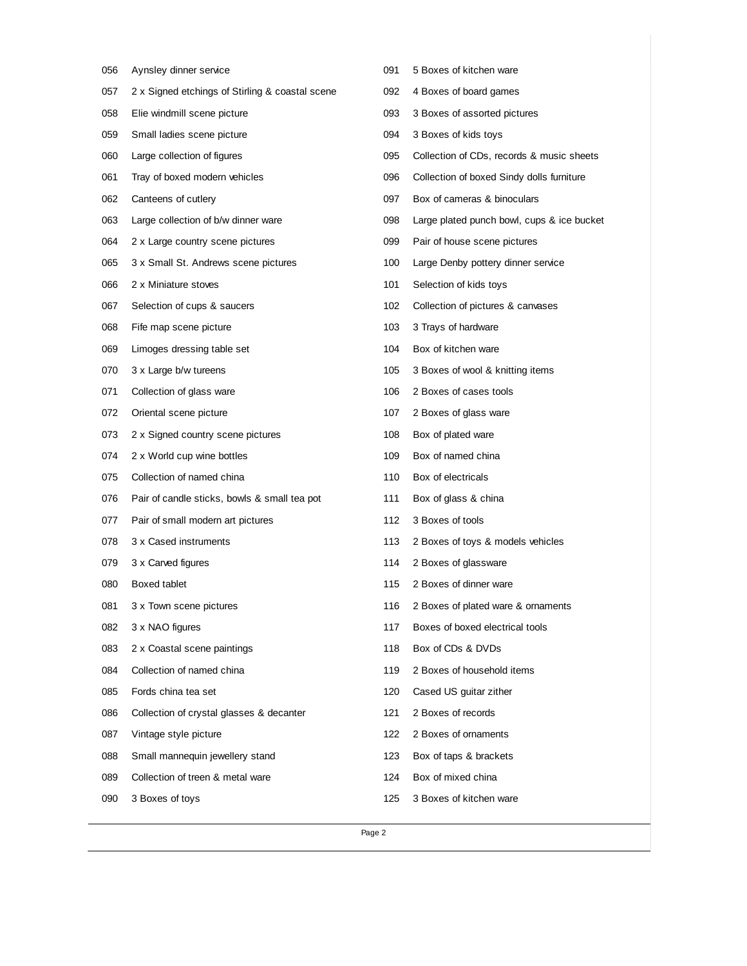|     | Page 2                                          |     |                                            |
|-----|-------------------------------------------------|-----|--------------------------------------------|
| 090 | 3 Boxes of toys                                 | 125 | 3 Boxes of kitchen ware                    |
| 089 | Collection of treen & metal ware                | 124 | Box of mixed china                         |
| 088 | Small mannequin jewellery stand                 | 123 | Box of taps & brackets                     |
| 087 | Vintage style picture                           | 122 | 2 Boxes of ornaments                       |
| 086 | Collection of crystal glasses & decanter        | 121 | 2 Boxes of records                         |
| 085 | Fords china tea set                             | 120 | Cased US guitar zither                     |
| 084 | Collection of named china                       | 119 | 2 Boxes of household items                 |
| 083 | 2 x Coastal scene paintings                     | 118 | Box of CDs & DVDs                          |
| 082 | 3 x NAO figures                                 | 117 | Boxes of boxed electrical tools            |
| 081 | 3 x Town scene pictures                         | 116 | 2 Boxes of plated ware & ornaments         |
| 080 | Boxed tablet                                    | 115 | 2 Boxes of dinner ware                     |
| 079 | 3 x Carved figures                              | 114 | 2 Boxes of glassware                       |
| 078 | 3 x Cased instruments                           | 113 | 2 Boxes of toys & models vehicles          |
| 077 | Pair of small modern art pictures               | 112 | 3 Boxes of tools                           |
| 076 | Pair of candle sticks, bowls & small tea pot    | 111 | Box of glass & china                       |
| 075 | Collection of named china                       | 110 | Box of electricals                         |
| 074 | 2 x World cup wine bottles                      | 109 | Box of named china                         |
| 073 | 2 x Signed country scene pictures               | 108 | Box of plated ware                         |
| 072 | Oriental scene picture                          | 107 | 2 Boxes of glass ware                      |
| 071 | Collection of glass ware                        | 106 | 2 Boxes of cases tools                     |
| 070 | 3 x Large b/w tureens                           | 105 | 3 Boxes of wool & knitting items           |
| 069 | Limoges dressing table set                      | 104 | Box of kitchen ware                        |
| 068 | Fife map scene picture                          | 103 | 3 Trays of hardware                        |
| 067 | Selection of cups & saucers                     | 102 | Collection of pictures & canvases          |
| 066 | 2 x Miniature stoves                            | 101 | Selection of kids toys                     |
| 065 | 3 x Small St. Andrews scene pictures            | 100 | Large Denby pottery dinner service         |
| 064 | 2 x Large country scene pictures                | 099 | Pair of house scene pictures               |
| 063 | Large collection of b/w dinner ware             | 098 | Large plated punch bowl, cups & ice bucket |
| 062 | Canteens of cutlery                             | 097 | Box of cameras & binoculars                |
| 061 | Tray of boxed modern vehicles                   | 096 | Collection of boxed Sindy dolls furniture  |
| 060 | Large collection of figures                     | 095 | Collection of CDs, records & music sheets  |
| 059 | Small ladies scene picture                      | 094 | 3 Boxes of kids toys                       |
| 058 | Elie windmill scene picture                     | 093 | 3 Boxes of assorted pictures               |
| 057 | 2 x Signed etchings of Stirling & coastal scene | 092 | 4 Boxes of board games                     |
| 056 | Aynsley dinner service                          | 091 | 5 Boxes of kitchen ware                    |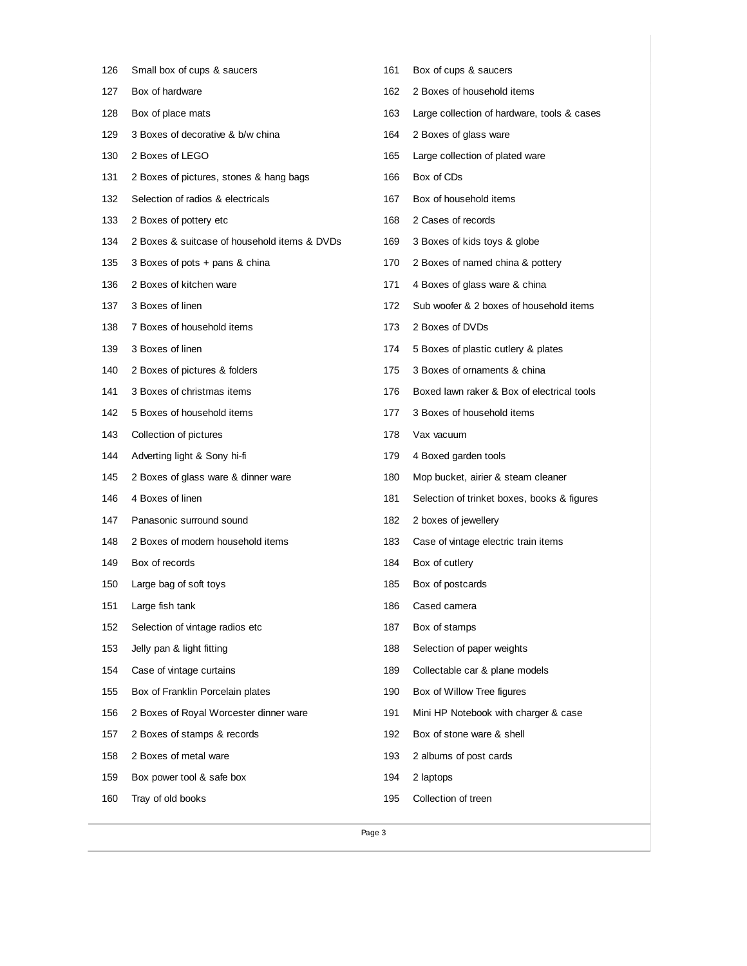| 126 | Small box of cups & saucers                  | 161 | Box of cups & saucers                       |
|-----|----------------------------------------------|-----|---------------------------------------------|
| 127 | Box of hardware                              | 162 | 2 Boxes of household items                  |
| 128 | Box of place mats                            | 163 | Large collection of hardware, tools & cases |
| 129 | 3 Boxes of decorative & b/w china            | 164 | 2 Boxes of glass ware                       |
| 130 | 2 Boxes of LEGO                              | 165 | Large collection of plated ware             |
| 131 | 2 Boxes of pictures, stones & hang bags      | 166 | Box of CDs                                  |
| 132 | Selection of radios & electricals            | 167 | Box of household items                      |
| 133 | 2 Boxes of pottery etc                       | 168 | 2 Cases of records                          |
| 134 | 2 Boxes & suitcase of household items & DVDs | 169 | 3 Boxes of kids toys & globe                |
| 135 | 3 Boxes of pots + pans & china               | 170 | 2 Boxes of named china & pottery            |
| 136 | 2 Boxes of kitchen ware                      | 171 | 4 Boxes of glass ware & china               |
| 137 | 3 Boxes of linen                             | 172 | Sub woofer & 2 boxes of household items     |
| 138 | 7 Boxes of household items                   | 173 | 2 Boxes of DVDs                             |
| 139 | 3 Boxes of linen                             | 174 | 5 Boxes of plastic cutlery & plates         |
| 140 | 2 Boxes of pictures & folders                | 175 | 3 Boxes of ornaments & china                |
| 141 | 3 Boxes of christmas items                   | 176 | Boxed lawn raker & Box of electrical tools  |
| 142 | 5 Boxes of household items                   | 177 | 3 Boxes of household items                  |
| 143 | Collection of pictures                       | 178 | Vax vacuum                                  |
| 144 | Adverting light & Sony hi-fi                 | 179 | 4 Boxed garden tools                        |
| 145 | 2 Boxes of glass ware & dinner ware          | 180 | Mop bucket, airier & steam cleaner          |
| 146 | 4 Boxes of linen                             | 181 | Selection of trinket boxes, books & figures |
| 147 | Panasonic surround sound                     | 182 | 2 boxes of jewellery                        |
| 148 | 2 Boxes of modern household items            | 183 | Case of vintage electric train items        |
| 149 | Box of records                               | 184 | Box of cutlery                              |
| 150 | Large bag of soft toys                       | 185 | Box of postcards                            |
| 151 | Large fish tank                              | 186 | Cased camera                                |
| 152 | Selection of vintage radios etc              | 187 | Box of stamps                               |
| 153 | Jelly pan & light fitting                    | 188 | Selection of paper weights                  |
| 154 | Case of vintage curtains                     | 189 | Collectable car & plane models              |
| 155 | Box of Franklin Porcelain plates             | 190 | Box of Willow Tree figures                  |
| 156 | 2 Boxes of Royal Worcester dinner ware       | 191 | Mini HP Notebook with charger & case        |
| 157 | 2 Boxes of stamps & records                  | 192 | Box of stone ware & shell                   |
| 158 | 2 Boxes of metal ware                        | 193 | 2 albums of post cards                      |
| 159 | Box power tool & safe box                    | 194 | 2 laptops                                   |
| 160 | Tray of old books                            | 195 | Collection of treen                         |
|     |                                              |     |                                             |

Page 3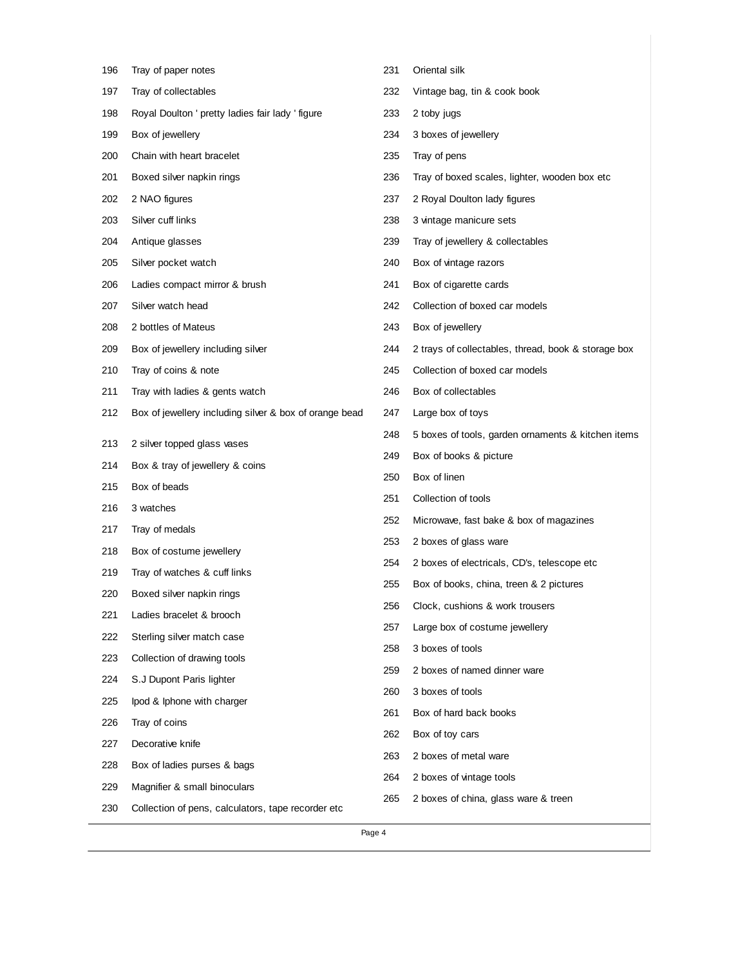| 196 | Tray of paper notes                                    | 231 | Oriental silk                                       |
|-----|--------------------------------------------------------|-----|-----------------------------------------------------|
| 197 | Tray of collectables                                   | 232 | Vintage bag, tin & cook book                        |
| 198 | Royal Doulton ' pretty ladies fair lady ' figure       | 233 | 2 toby jugs                                         |
| 199 | Box of jewellery                                       | 234 | 3 boxes of jewellery                                |
| 200 | Chain with heart bracelet                              | 235 | Tray of pens                                        |
| 201 | Boxed silver napkin rings                              | 236 | Tray of boxed scales, lighter, wooden box etc       |
| 202 | 2 NAO figures                                          | 237 | 2 Royal Doulton lady figures                        |
| 203 | Silver cuff links                                      | 238 | 3 vintage manicure sets                             |
| 204 | Antique glasses                                        | 239 | Tray of jewellery & collectables                    |
| 205 | Silver pocket watch                                    | 240 | Box of vintage razors                               |
| 206 | Ladies compact mirror & brush                          | 241 | Box of cigarette cards                              |
| 207 | Silver watch head                                      | 242 | Collection of boxed car models                      |
| 208 | 2 bottles of Mateus                                    | 243 | Box of jewellery                                    |
| 209 | Box of jewellery including silver                      | 244 | 2 trays of collectables, thread, book & storage box |
| 210 | Tray of coins & note                                   | 245 | Collection of boxed car models                      |
| 211 | Tray with ladies & gents watch                         | 246 | Box of collectables                                 |
| 212 | Box of jewellery including silver & box of orange bead | 247 | Large box of toys                                   |
| 213 | 2 silver topped glass vases                            | 248 | 5 boxes of tools, garden ornaments & kitchen items  |
| 214 | Box & tray of jewellery & coins                        | 249 | Box of books & picture                              |
| 215 | Box of beads                                           | 250 | Box of linen                                        |
| 216 | 3 watches                                              | 251 | Collection of tools                                 |
| 217 | Tray of medals                                         | 252 | Microwave, fast bake & box of magazines             |
| 218 | Box of costume jewellery                               | 253 | 2 boxes of glass ware                               |
| 219 | Tray of watches & cuff links                           | 254 | 2 boxes of electricals, CD's, telescope etc         |
| 220 | Boxed silver napkin rings                              | 255 | Box of books, china, treen & 2 pictures             |
| 221 | Ladies bracelet & brooch                               | 256 | Clock, cushions & work trousers                     |
| 222 | Sterling silver match case                             | 257 | Large box of costume jewellery                      |
| 223 | Collection of drawing tools                            | 258 | 3 boxes of tools                                    |
| 224 | S.J Dupont Paris lighter                               | 259 | 2 boxes of named dinner ware                        |
| 225 | lpod & Iphone with charger                             | 260 | 3 boxes of tools                                    |
| 226 | Tray of coins                                          | 261 | Box of hard back books                              |
| 227 | Decorative knife                                       | 262 | Box of toy cars                                     |
| 228 | Box of ladies purses & bags                            | 263 | 2 boxes of metal ware                               |
| 229 | Magnifier & small binoculars                           | 264 | 2 boxes of vintage tools                            |
| 230 | Collection of pens, calculators, tape recorder etc     | 265 | 2 boxes of china, glass ware & treen                |
|     |                                                        |     |                                                     |

Page 4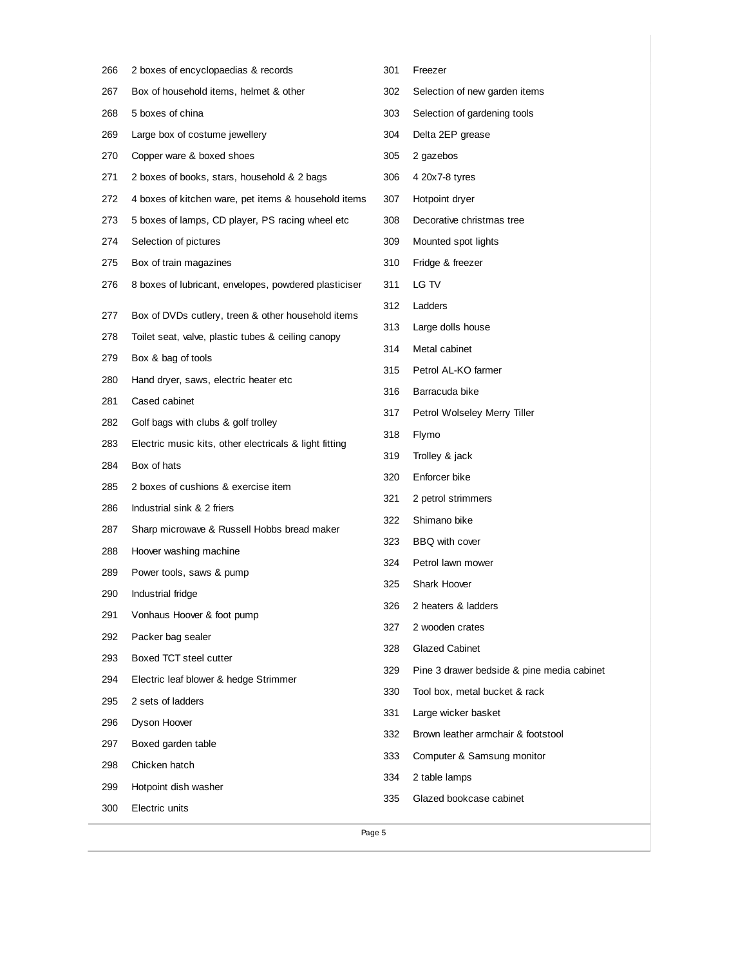| 266 | 2 boxes of encyclopaedias & records                    | 301 | Freezer                                    |
|-----|--------------------------------------------------------|-----|--------------------------------------------|
| 267 | Box of household items, helmet & other                 | 302 | Selection of new garden items              |
| 268 | 5 boxes of china                                       | 303 | Selection of gardening tools               |
| 269 | Large box of costume jewellery                         | 304 | Delta 2EP grease                           |
| 270 | Copper ware & boxed shoes                              | 305 | 2 gazebos                                  |
| 271 | 2 boxes of books, stars, household & 2 bags            | 306 | 4 20x7-8 tyres                             |
| 272 | 4 boxes of kitchen ware, pet items & household items   | 307 | Hotpoint dryer                             |
| 273 | 5 boxes of lamps, CD player, PS racing wheel etc       | 308 | Decorative christmas tree                  |
| 274 | Selection of pictures                                  | 309 | Mounted spot lights                        |
| 275 | Box of train magazines                                 | 310 | Fridge & freezer                           |
| 276 | 8 boxes of lubricant, envelopes, powdered plasticiser  | 311 | LG TV                                      |
| 277 | Box of DVDs cutlery, treen & other household items     | 312 | Ladders                                    |
| 278 | Toilet seat, valve, plastic tubes & ceiling canopy     | 313 | Large dolls house                          |
| 279 | Box & bag of tools                                     | 314 | Metal cabinet                              |
| 280 | Hand dryer, saws, electric heater etc                  | 315 | Petrol AL-KO farmer                        |
| 281 | Cased cabinet                                          | 316 | Barracuda bike                             |
| 282 | Golf bags with clubs & golf trolley                    | 317 | Petrol Wolseley Merry Tiller               |
| 283 | Electric music kits, other electricals & light fitting | 318 | Flymo                                      |
| 284 | Box of hats                                            | 319 | Trolley & jack                             |
| 285 | 2 boxes of cushions & exercise item                    | 320 | Enforcer bike                              |
| 286 | Industrial sink & 2 friers                             | 321 | 2 petrol strimmers                         |
| 287 | Sharp microwave & Russell Hobbs bread maker            | 322 | Shimano bike                               |
| 288 | Hoover washing machine                                 | 323 | BBQ with cover                             |
| 289 | Power tools, saws & pump                               | 324 | Petrol lawn mower                          |
| 290 | Industrial fridge                                      | 325 | <b>Shark Hoover</b>                        |
| 291 | Vonhaus Hoover & foot pump                             | 326 | 2 heaters & ladders                        |
| 292 | Packer bag sealer                                      | 327 | 2 wooden crates                            |
| 293 | Boxed TCT steel cutter                                 | 328 | Glazed Cabinet                             |
| 294 | Electric leaf blower & hedge Strimmer                  | 329 | Pine 3 drawer bedside & pine media cabinet |
| 295 | 2 sets of ladders                                      | 330 | Tool box, metal bucket & rack              |
| 296 | Dyson Hoover                                           | 331 | Large wicker basket                        |
| 297 | Boxed garden table                                     | 332 | Brown leather armchair & footstool         |
| 298 | Chicken hatch                                          | 333 | Computer & Samsung monitor                 |
| 299 | Hotpoint dish washer                                   | 334 | 2 table lamps                              |
| 300 | Electric units                                         | 335 | Glazed bookcase cabinet                    |
|     | Page 5                                                 |     |                                            |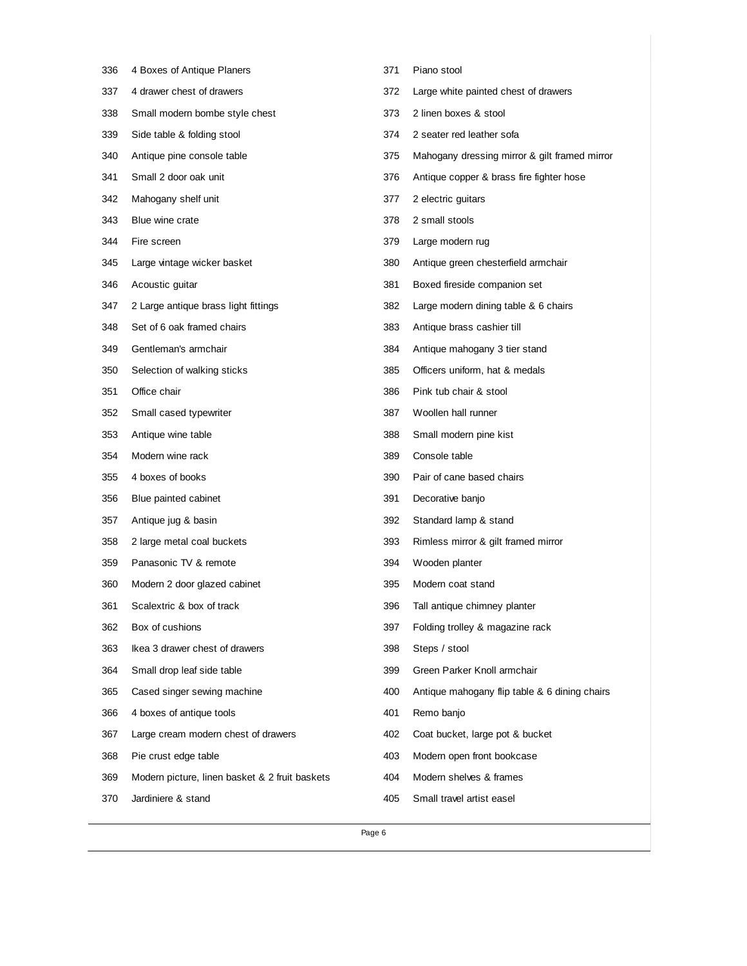| 336 | 4 Boxes of Antique Planers                     | 371 | Piano stool                                   |
|-----|------------------------------------------------|-----|-----------------------------------------------|
| 337 | 4 drawer chest of drawers                      | 372 | Large white painted chest of drawers          |
| 338 | Small modern bombe style chest                 | 373 | 2 linen boxes & stool                         |
| 339 | Side table & folding stool                     | 374 | 2 seater red leather sofa                     |
| 340 | Antique pine console table                     | 375 | Mahogany dressing mirror & gilt framed mirror |
| 341 | Small 2 door oak unit                          | 376 | Antique copper & brass fire fighter hose      |
| 342 | Mahogany shelf unit                            | 377 | 2 electric guitars                            |
| 343 | Blue wine crate                                | 378 | 2 small stools                                |
| 344 | Fire screen                                    | 379 | Large modern rug                              |
| 345 | Large vintage wicker basket                    | 380 | Antique green chesterfield armchair           |
| 346 | Acoustic guitar                                | 381 | Boxed fireside companion set                  |
| 347 | 2 Large antique brass light fittings           | 382 | Large modern dining table & 6 chairs          |
| 348 | Set of 6 oak framed chairs                     | 383 | Antique brass cashier till                    |
| 349 | Gentleman's armchair                           | 384 | Antique mahogany 3 tier stand                 |
| 350 | Selection of walking sticks                    | 385 | Officers uniform, hat & medals                |
| 351 | Office chair                                   | 386 | Pink tub chair & stool                        |
| 352 | Small cased typewriter                         | 387 | Woollen hall runner                           |
| 353 | Antique wine table                             | 388 | Small modern pine kist                        |
| 354 | Modern wine rack                               | 389 | Console table                                 |
| 355 | 4 boxes of books                               | 390 | Pair of cane based chairs                     |
| 356 | Blue painted cabinet                           | 391 | Decorative banjo                              |
| 357 | Antique jug & basin                            | 392 | Standard lamp & stand                         |
| 358 | 2 large metal coal buckets                     | 393 | Rimless mirror & gilt framed mirror           |
| 359 | Panasonic TV & remote                          | 394 | Wooden planter                                |
| 360 | Modern 2 door glazed cabinet                   | 395 | Modern coat stand                             |
| 361 | Scalextric & box of track                      | 396 | Tall antique chimney planter                  |
| 362 | Box of cushions                                | 397 | Folding trolley & magazine rack               |
| 363 | Ikea 3 drawer chest of drawers                 | 398 | Steps / stool                                 |
| 364 | Small drop leaf side table                     | 399 | Green Parker Knoll armchair                   |
| 365 | Cased singer sewing machine                    | 400 | Antique mahogany flip table & 6 dining chairs |
| 366 | 4 boxes of antique tools                       | 401 | Remo banjo                                    |
| 367 | Large cream modern chest of drawers            | 402 | Coat bucket, large pot & bucket               |
| 368 | Pie crust edge table                           | 403 | Modern open front bookcase                    |
| 369 | Modern picture, linen basket & 2 fruit baskets | 404 | Modern shelves & frames                       |
| 370 | Jardiniere & stand                             | 405 | Small travel artist easel                     |
|     |                                                |     |                                               |

Page 6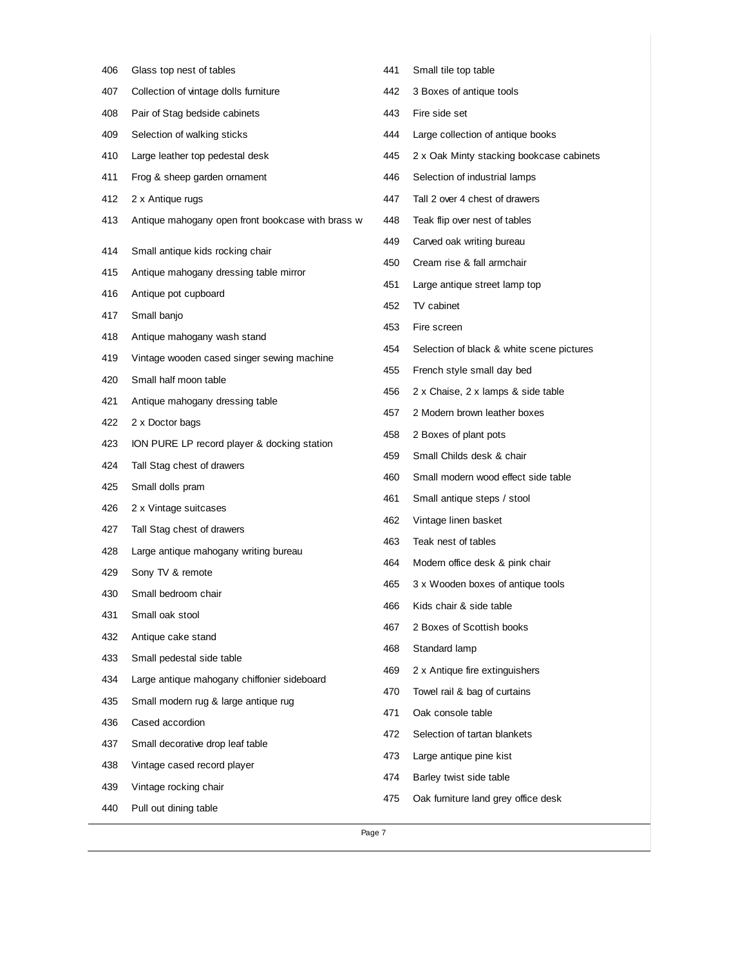| 406 | Glass top nest of tables                          | 441 | Small tile top table                      |
|-----|---------------------------------------------------|-----|-------------------------------------------|
| 407 | Collection of vintage dolls furniture             | 442 | 3 Boxes of antique tools                  |
| 408 | Pair of Stag bedside cabinets                     | 443 | Fire side set                             |
| 409 | Selection of walking sticks                       | 444 | Large collection of antique books         |
| 410 | Large leather top pedestal desk                   | 445 | 2 x Oak Minty stacking bookcase cabinets  |
| 411 | Frog & sheep garden ornament                      | 446 | Selection of industrial lamps             |
| 412 | 2 x Antique rugs                                  | 447 | Tall 2 over 4 chest of drawers            |
| 413 | Antique mahogany open front bookcase with brass w | 448 | Teak flip over nest of tables             |
| 414 | Small antique kids rocking chair                  | 449 | Carved oak writing bureau                 |
| 415 | Antique mahogany dressing table mirror            | 450 | Cream rise & fall armchair                |
| 416 | Antique pot cupboard                              | 451 | Large antique street lamp top             |
| 417 | Small banjo                                       | 452 | TV cabinet                                |
| 418 | Antique mahogany wash stand                       | 453 | Fire screen                               |
| 419 | Vintage wooden cased singer sewing machine        | 454 | Selection of black & white scene pictures |
| 420 | Small half moon table                             | 455 | French style small day bed                |
| 421 | Antique mahogany dressing table                   | 456 | 2 x Chaise, 2 x lamps & side table        |
| 422 | 2 x Doctor bags                                   | 457 | 2 Modern brown leather boxes              |
| 423 | ION PURE LP record player & docking station       | 458 | 2 Boxes of plant pots                     |
| 424 | Tall Stag chest of drawers                        | 459 | Small Childs desk & chair                 |
| 425 | Small dolls pram                                  | 460 | Small modern wood effect side table       |
| 426 | 2 x Vintage suitcases                             | 461 | Small antique steps / stool               |
| 427 | Tall Stag chest of drawers                        | 462 | Vintage linen basket                      |
| 428 | Large antique mahogany writing bureau             | 463 | Teak nest of tables                       |
| 429 | Sony TV & remote                                  | 464 | Modern office desk & pink chair           |
| 430 | Small bedroom chair                               | 465 | 3 x Wooden boxes of antique tools         |
| 431 | Small oak stool                                   | 466 | Kids chair & side table                   |
| 432 | Antique cake stand                                | 467 | 2 Boxes of Scottish books                 |
| 433 | Small pedestal side table                         | 468 | Standard lamp                             |
| 434 | Large antique mahogany chiffonier sideboard       | 469 | 2 x Antique fire extinguishers            |
| 435 | Small modern rug & large antique rug              | 470 | Towel rail & bag of curtains              |
| 436 | Cased accordion                                   | 471 | Oak console table                         |
| 437 | Small decorative drop leaf table                  | 472 | Selection of tartan blankets              |
| 438 | Vintage cased record player                       | 473 | Large antique pine kist                   |
| 439 | Vintage rocking chair                             | 474 | Barley twist side table                   |
| 440 | Pull out dining table                             | 475 | Oak furniture land grey office desk       |
|     | Page 7                                            |     |                                           |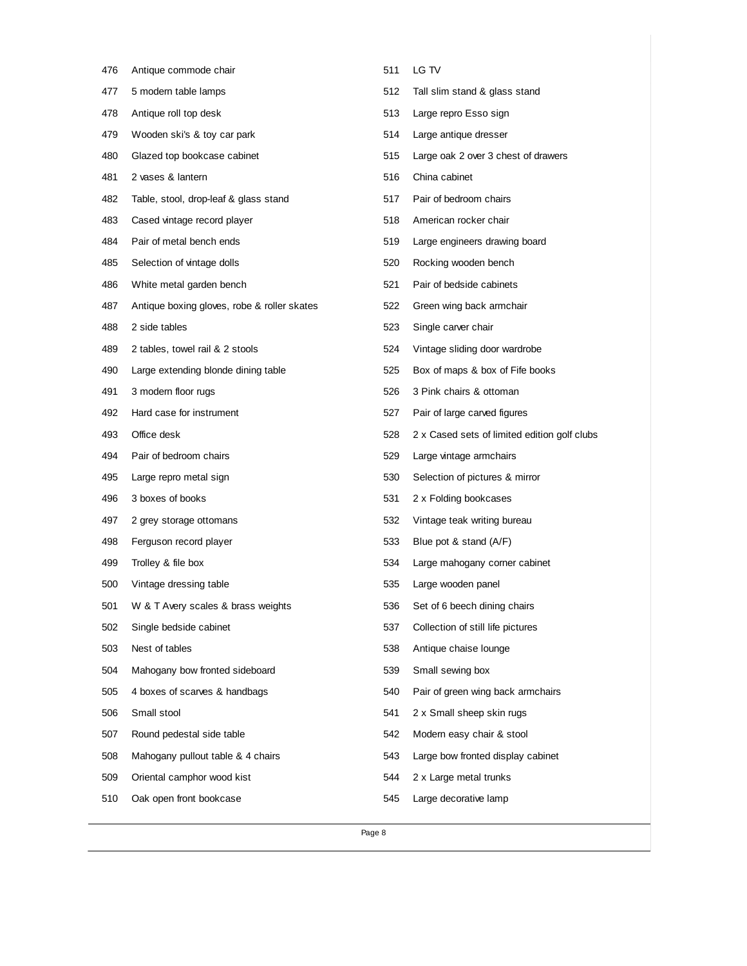| 476 | Antique commode chair                       | 511 | LG TV                                        |
|-----|---------------------------------------------|-----|----------------------------------------------|
| 477 | 5 modern table lamps                        | 512 | Tall slim stand & glass stand                |
| 478 | Antique roll top desk                       | 513 | Large repro Esso sign                        |
| 479 | Wooden ski's & toy car park                 | 514 | Large antique dresser                        |
| 480 | Glazed top bookcase cabinet                 | 515 | Large oak 2 over 3 chest of drawers          |
| 481 | 2 vases & lantern                           | 516 | China cabinet                                |
| 482 | Table, stool, drop-leaf & glass stand       | 517 | Pair of bedroom chairs                       |
| 483 | Cased vintage record player                 | 518 | American rocker chair                        |
| 484 | Pair of metal bench ends                    | 519 | Large engineers drawing board                |
| 485 | Selection of vintage dolls                  | 520 | Rocking wooden bench                         |
| 486 | White metal garden bench                    | 521 | Pair of bedside cabinets                     |
| 487 | Antique boxing gloves, robe & roller skates | 522 | Green wing back armchair                     |
| 488 | 2 side tables                               | 523 | Single carver chair                          |
| 489 | 2 tables, towel rail & 2 stools             | 524 | Vintage sliding door wardrobe                |
| 490 | Large extending blonde dining table         | 525 | Box of maps & box of Fife books              |
| 491 | 3 modern floor rugs                         | 526 | 3 Pink chairs & ottoman                      |
| 492 | Hard case for instrument                    | 527 | Pair of large carved figures                 |
| 493 | Office desk                                 | 528 | 2 x Cased sets of limited edition golf clubs |
| 494 | Pair of bedroom chairs                      | 529 | Large vintage armchairs                      |
| 495 | Large repro metal sign                      | 530 | Selection of pictures & mirror               |
| 496 | 3 boxes of books                            | 531 | 2 x Folding bookcases                        |
| 497 | 2 grey storage ottomans                     | 532 | Vintage teak writing bureau                  |
| 498 | Ferguson record player                      | 533 | Blue pot & stand (A/F)                       |
| 499 | Trolley & file box                          | 534 | Large mahogany corner cabinet                |
| 500 | Vintage dressing table                      | 535 | Large wooden panel                           |
| 501 | W & T Avery scales & brass weights          | 536 | Set of 6 beech dining chairs                 |
| 502 | Single bedside cabinet                      | 537 | Collection of still life pictures            |
| 503 | Nest of tables                              | 538 | Antique chaise lounge                        |
| 504 | Mahogany bow fronted sideboard              | 539 | Small sewing box                             |
| 505 | 4 boxes of scarves & handbags               | 540 | Pair of green wing back armchairs            |
| 506 | Small stool                                 | 541 | 2 x Small sheep skin rugs                    |
| 507 | Round pedestal side table                   | 542 | Modern easy chair & stool                    |
| 508 | Mahogany pullout table & 4 chairs           | 543 | Large bow fronted display cabinet            |
| 509 | Oriental camphor wood kist                  | 544 | 2 x Large metal trunks                       |
| 510 | Oak open front bookcase                     | 545 | Large decorative lamp                        |
|     |                                             |     |                                              |